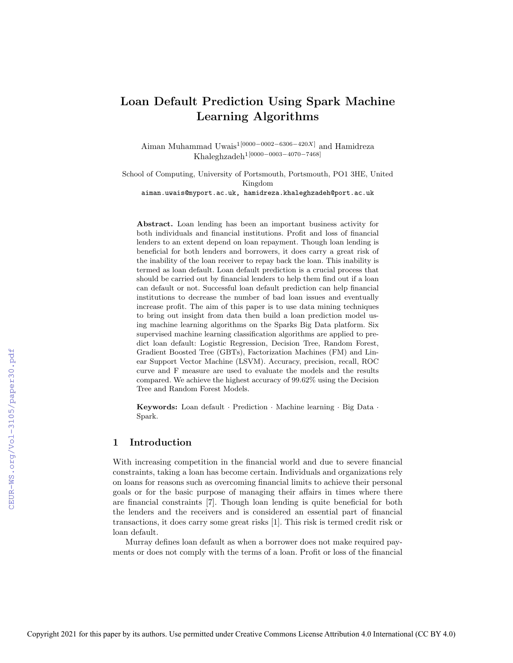# Loan Default Prediction Using Spark Machine Learning Algorithms

Aiman Muhammad Uwais1[0000−0002−6306−420X] and Hamidreza Khaleghzadeh1[0000−0003−4070−7468]

School of Computing, University of Portsmouth, Portsmouth, PO1 3HE, United Kingdom aiman.uwais@myport.ac.uk, hamidreza.khaleghzadeh@port.ac.uk

Abstract. Loan lending has been an important business activity for both individuals and financial institutions. Profit and loss of financial lenders to an extent depend on loan repayment. Though loan lending is beneficial for both lenders and borrowers, it does carry a great risk of the inability of the loan receiver to repay back the loan. This inability is termed as loan default. Loan default prediction is a crucial process that should be carried out by financial lenders to help them find out if a loan can default or not. Successful loan default prediction can help financial institutions to decrease the number of bad loan issues and eventually increase profit. The aim of this paper is to use data mining techniques to bring out insight from data then build a loan prediction model using machine learning algorithms on the Sparks Big Data platform. Six supervised machine learning classification algorithms are applied to predict loan default: Logistic Regression, Decision Tree, Random Forest, Gradient Boosted Tree (GBTs), Factorization Machines (FM) and Linear Support Vector Machine (LSVM). Accuracy, precision, recall, ROC curve and F measure are used to evaluate the models and the results compared. We achieve the highest accuracy of 99.62% using the Decision Tree and Random Forest Models.

Keywords: Loan default · Prediction · Machine learning · Big Data · Spark.

# 1 Introduction

With increasing competition in the financial world and due to severe financial constraints, taking a loan has become certain. Individuals and organizations rely on loans for reasons such as overcoming financial limits to achieve their personal goals or for the basic purpose of managing their affairs in times where there are financial constraints [7]. Though loan lending is quite beneficial for both the lenders and the receivers and is considered an essential part of financial transactions, it does carry some great risks [1]. This risk is termed credit risk or loan default.

Murray defines loan default as when a borrower does not make required payments or does not comply with the terms of a loan. Profit or loss of the financial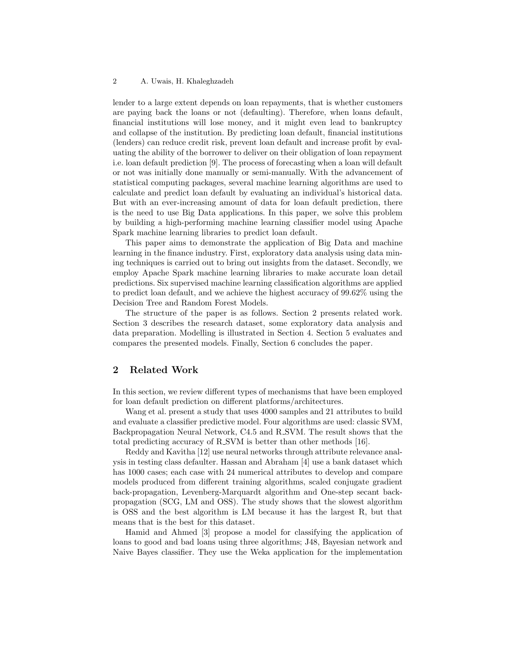#### 2 A. Uwais, H. Khaleghzadeh

lender to a large extent depends on loan repayments, that is whether customers are paying back the loans or not (defaulting). Therefore, when loans default, financial institutions will lose money, and it might even lead to bankruptcy and collapse of the institution. By predicting loan default, financial institutions (lenders) can reduce credit risk, prevent loan default and increase profit by evaluating the ability of the borrower to deliver on their obligation of loan repayment i.e. loan default prediction [9]. The process of forecasting when a loan will default or not was initially done manually or semi-manually. With the advancement of statistical computing packages, several machine learning algorithms are used to calculate and predict loan default by evaluating an individual's historical data. But with an ever-increasing amount of data for loan default prediction, there is the need to use Big Data applications. In this paper, we solve this problem by building a high-performing machine learning classifier model using Apache Spark machine learning libraries to predict loan default.

This paper aims to demonstrate the application of Big Data and machine learning in the finance industry. First, exploratory data analysis using data mining techniques is carried out to bring out insights from the dataset. Secondly, we employ Apache Spark machine learning libraries to make accurate loan detail predictions. Six supervised machine learning classification algorithms are applied to predict loan default, and we achieve the highest accuracy of 99.62% using the Decision Tree and Random Forest Models.

The structure of the paper is as follows. Section 2 presents related work. Section 3 describes the research dataset, some exploratory data analysis and data preparation. Modelling is illustrated in Section 4. Section 5 evaluates and compares the presented models. Finally, Section 6 concludes the paper.

# 2 Related Work

In this section, we review different types of mechanisms that have been employed for loan default prediction on different platforms/architectures.

Wang et al. present a study that uses 4000 samples and 21 attributes to build and evaluate a classifier predictive model. Four algorithms are used: classic SVM, Backpropagation Neural Network, C4.5 and R SVM. The result shows that the total predicting accuracy of R SVM is better than other methods [16].

Reddy and Kavitha [12] use neural networks through attribute relevance analysis in testing class defaulter. Hassan and Abraham [4] use a bank dataset which has 1000 cases; each case with 24 numerical attributes to develop and compare models produced from different training algorithms, scaled conjugate gradient back-propagation, Levenberg-Marquardt algorithm and One-step secant backpropagation (SCG, LM and OSS). The study shows that the slowest algorithm is OSS and the best algorithm is LM because it has the largest R, but that means that is the best for this dataset.

Hamid and Ahmed [3] propose a model for classifying the application of loans to good and bad loans using three algorithms; J48, Bayesian network and Naive Bayes classifier. They use the Weka application for the implementation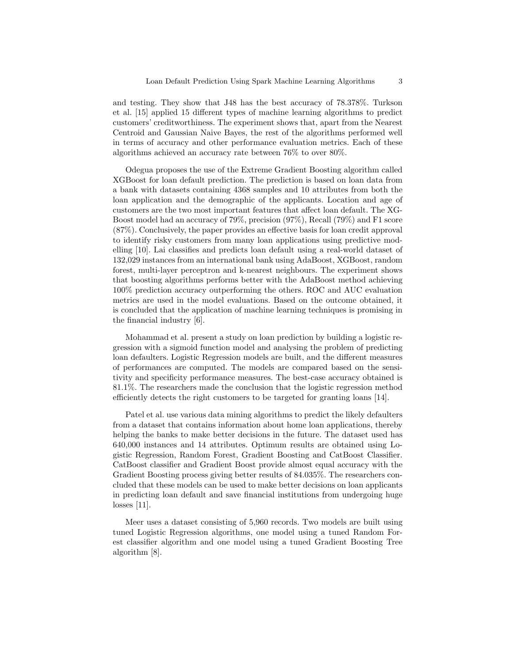and testing. They show that J48 has the best accuracy of 78.378%. Turkson et al. [15] applied 15 different types of machine learning algorithms to predict customers' creditworthiness. The experiment shows that, apart from the Nearest Centroid and Gaussian Naive Bayes, the rest of the algorithms performed well in terms of accuracy and other performance evaluation metrics. Each of these algorithms achieved an accuracy rate between 76% to over 80%.

Odegua proposes the use of the Extreme Gradient Boosting algorithm called XGBoost for loan default prediction. The prediction is based on loan data from a bank with datasets containing 4368 samples and 10 attributes from both the loan application and the demographic of the applicants. Location and age of customers are the two most important features that affect loan default. The XG-Boost model had an accuracy of 79%, precision (97%), Recall (79%) and F1 score (87%). Conclusively, the paper provides an effective basis for loan credit approval to identify risky customers from many loan applications using predictive modelling [10]. Lai classifies and predicts loan default using a real-world dataset of 132,029 instances from an international bank using AdaBoost, XGBoost, random forest, multi-layer perceptron and k-nearest neighbours. The experiment shows that boosting algorithms performs better with the AdaBoost method achieving 100% prediction accuracy outperforming the others. ROC and AUC evaluation metrics are used in the model evaluations. Based on the outcome obtained, it is concluded that the application of machine learning techniques is promising in the financial industry [6].

Mohammad et al. present a study on loan prediction by building a logistic regression with a sigmoid function model and analysing the problem of predicting loan defaulters. Logistic Regression models are built, and the different measures of performances are computed. The models are compared based on the sensitivity and specificity performance measures. The best-case accuracy obtained is 81.1%. The researchers made the conclusion that the logistic regression method efficiently detects the right customers to be targeted for granting loans [14].

Patel et al. use various data mining algorithms to predict the likely defaulters from a dataset that contains information about home loan applications, thereby helping the banks to make better decisions in the future. The dataset used has 640,000 instances and 14 attributes. Optimum results are obtained using Logistic Regression, Random Forest, Gradient Boosting and CatBoost Classifier. CatBoost classifier and Gradient Boost provide almost equal accuracy with the Gradient Boosting process giving better results of 84.035%. The researchers concluded that these models can be used to make better decisions on loan applicants in predicting loan default and save financial institutions from undergoing huge losses [11].

Meer uses a dataset consisting of 5,960 records. Two models are built using tuned Logistic Regression algorithms, one model using a tuned Random Forest classifier algorithm and one model using a tuned Gradient Boosting Tree algorithm [8].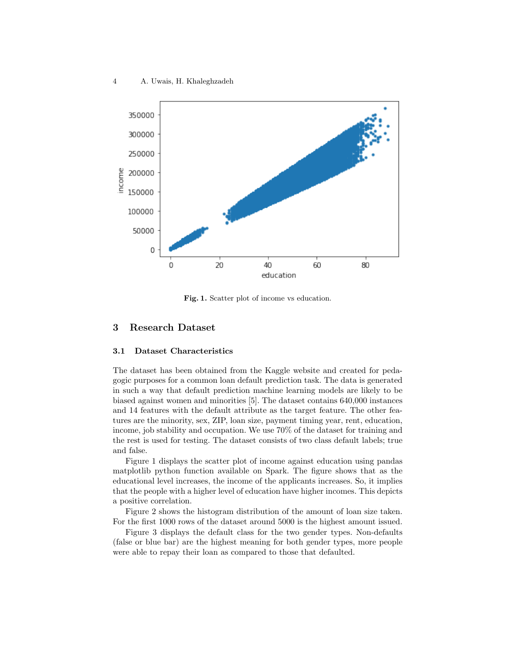

Fig. 1. Scatter plot of income vs education.

# 3 Research Dataset

### 3.1 Dataset Characteristics

The dataset has been obtained from the Kaggle website and created for pedagogic purposes for a common loan default prediction task. The data is generated in such a way that default prediction machine learning models are likely to be biased against women and minorities [5]. The dataset contains 640,000 instances and 14 features with the default attribute as the target feature. The other features are the minority, sex, ZIP, loan size, payment timing year, rent, education, income, job stability and occupation. We use 70% of the dataset for training and the rest is used for testing. The dataset consists of two class default labels; true and false.

Figure 1 displays the scatter plot of income against education using pandas matplotlib python function available on Spark. The figure shows that as the educational level increases, the income of the applicants increases. So, it implies that the people with a higher level of education have higher incomes. This depicts a positive correlation.

Figure 2 shows the histogram distribution of the amount of loan size taken. For the first 1000 rows of the dataset around 5000 is the highest amount issued.

Figure 3 displays the default class for the two gender types. Non-defaults (false or blue bar) are the highest meaning for both gender types, more people were able to repay their loan as compared to those that defaulted.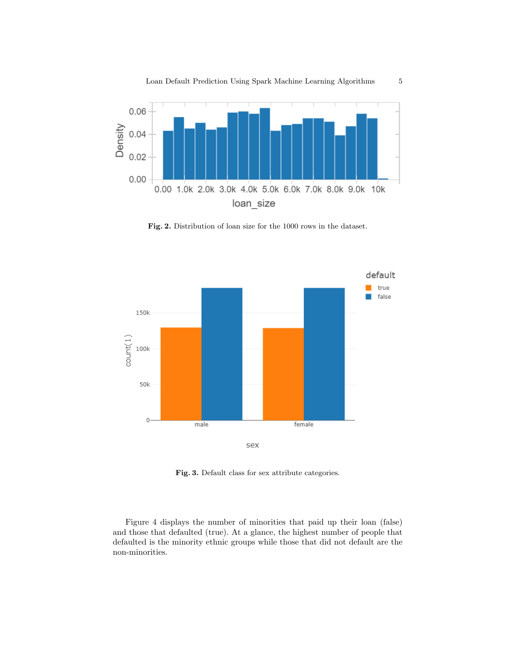

Fig. 2. Distribution of loan size for the 1000 rows in the dataset.



Fig. 3. Default class for sex attribute categories.

Figure 4 displays the number of minorities that paid up their loan (false) and those that defaulted (true). At a glance, the highest number of people that defaulted is the minority ethnic groups while those that did not default are the non-minorities.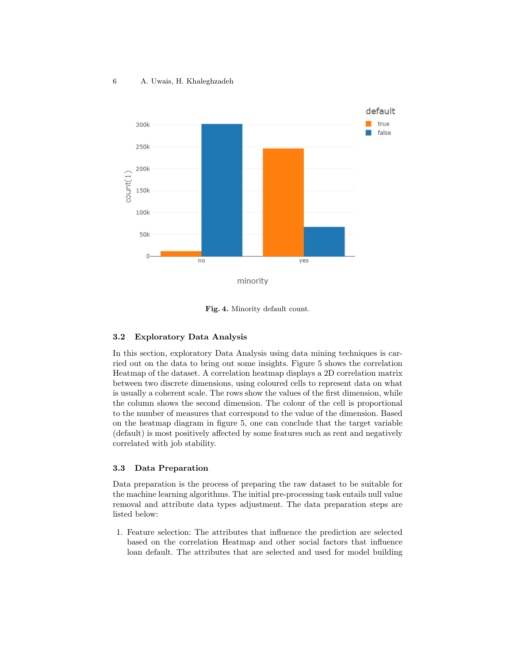

Fig. 4. Minority default count.

#### 3.2 Exploratory Data Analysis

In this section, exploratory Data Analysis using data mining techniques is carried out on the data to bring out some insights. Figure 5 shows the correlation Heatmap of the dataset. A correlation heatmap displays a 2D correlation matrix between two discrete dimensions, using coloured cells to represent data on what is usually a coherent scale. The rows show the values of the first dimension, while the column shows the second dimension. The colour of the cell is proportional to the number of measures that correspond to the value of the dimension. Based on the heatmap diagram in figure 5, one can conclude that the target variable (default) is most positively affected by some features such as rent and negatively correlated with job stability.

## 3.3 Data Preparation

Data preparation is the process of preparing the raw dataset to be suitable for the machine learning algorithms. The initial pre-processing task entails null value removal and attribute data types adjustment. The data preparation steps are listed below:

1. Feature selection: The attributes that influence the prediction are selected based on the correlation Heatmap and other social factors that influence loan default. The attributes that are selected and used for model building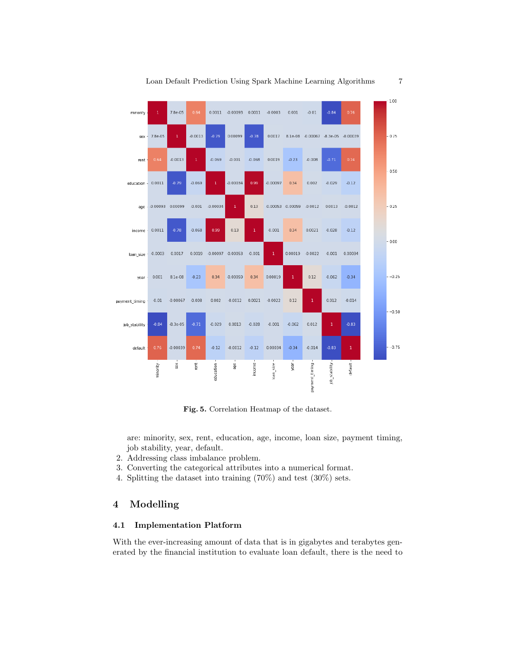

Fig. 5. Correlation Heatmap of the dataset.

are: minority, sex, rent, education, age, income, loan size, payment timing, job stability, year, default.

- 2. Addressing class imbalance problem.
- 3. Converting the categorical attributes into a numerical format.
- 4. Splitting the dataset into training (70%) and test (30%) sets.

# 4 Modelling

# 4.1 Implementation Platform

With the ever-increasing amount of data that is in gigabytes and terabytes generated by the financial institution to evaluate loan default, there is the need to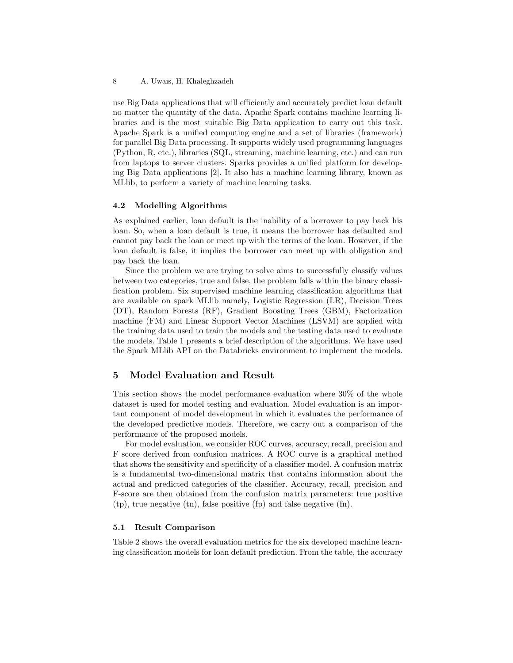use Big Data applications that will efficiently and accurately predict loan default no matter the quantity of the data. Apache Spark contains machine learning libraries and is the most suitable Big Data application to carry out this task. Apache Spark is a unified computing engine and a set of libraries (framework) for parallel Big Data processing. It supports widely used programming languages (Python, R, etc.), libraries (SQL, streaming, machine learning, etc.) and can run from laptops to server clusters. Sparks provides a unified platform for developing Big Data applications [2]. It also has a machine learning library, known as MLlib, to perform a variety of machine learning tasks.

#### 4.2 Modelling Algorithms

As explained earlier, loan default is the inability of a borrower to pay back his loan. So, when a loan default is true, it means the borrower has defaulted and cannot pay back the loan or meet up with the terms of the loan. However, if the loan default is false, it implies the borrower can meet up with obligation and pay back the loan.

Since the problem we are trying to solve aims to successfully classify values between two categories, true and false, the problem falls within the binary classification problem. Six supervised machine learning classification algorithms that are available on spark MLlib namely, Logistic Regression (LR), Decision Trees (DT), Random Forests (RF), Gradient Boosting Trees (GBM), Factorization machine (FM) and Linear Support Vector Machines (LSVM) are applied with the training data used to train the models and the testing data used to evaluate the models. Table 1 presents a brief description of the algorithms. We have used the Spark MLlib API on the Databricks environment to implement the models.

# 5 Model Evaluation and Result

This section shows the model performance evaluation where 30% of the whole dataset is used for model testing and evaluation. Model evaluation is an important component of model development in which it evaluates the performance of the developed predictive models. Therefore, we carry out a comparison of the performance of the proposed models.

For model evaluation, we consider ROC curves, accuracy, recall, precision and F score derived from confusion matrices. A ROC curve is a graphical method that shows the sensitivity and specificity of a classifier model. A confusion matrix is a fundamental two-dimensional matrix that contains information about the actual and predicted categories of the classifier. Accuracy, recall, precision and F-score are then obtained from the confusion matrix parameters: true positive (tp), true negative (tn), false positive (fp) and false negative (fn).

### 5.1 Result Comparison

Table 2 shows the overall evaluation metrics for the six developed machine learning classification models for loan default prediction. From the table, the accuracy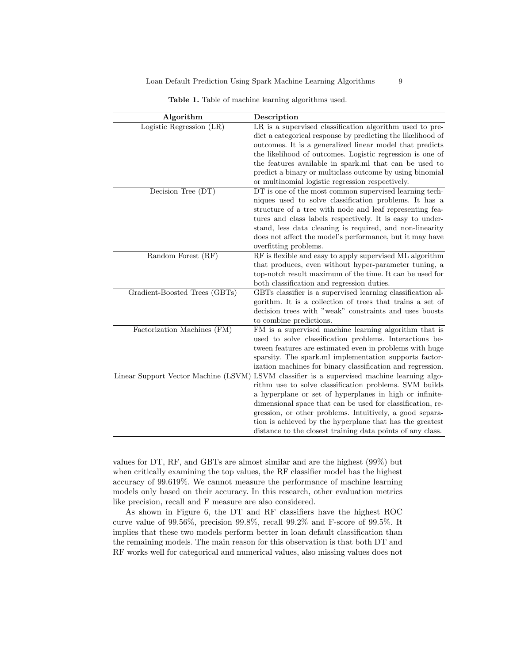| Algorithm                            | Description                                                 |  |  |
|--------------------------------------|-------------------------------------------------------------|--|--|
| Logistic Regression (LR)             | LR is a supervised classification algorithm used to pre-    |  |  |
|                                      | dict a categorical response by predicting the likelihood of |  |  |
|                                      | outcomes. It is a generalized linear model that predicts    |  |  |
|                                      | the likelihood of outcomes. Logistic regression is one of   |  |  |
|                                      | the features available in spark.ml that can be used to      |  |  |
|                                      | predict a binary or multiclass outcome by using binomial    |  |  |
|                                      | or multinomial logistic regression respectively.            |  |  |
| Decision Tree (DT)                   | DT is one of the most common supervised learning tech-      |  |  |
|                                      | niques used to solve classification problems. It has a      |  |  |
|                                      | structure of a tree with node and leaf representing fea-    |  |  |
|                                      | tures and class labels respectively. It is easy to under-   |  |  |
|                                      | stand, less data cleaning is required, and non-linearity    |  |  |
|                                      | does not affect the model's performance, but it may have    |  |  |
|                                      | overfitting problems.                                       |  |  |
| Random Forest (RF)                   | RF is flexible and easy to apply supervised ML algorithm    |  |  |
|                                      | that produces, even without hyper-parameter tuning, a       |  |  |
|                                      | top-notch result maximum of the time. It can be used for    |  |  |
|                                      | both classification and regression duties.                  |  |  |
| Gradient-Boosted Trees (GBTs)        | GBTs classifier is a supervised learning classification al- |  |  |
|                                      | gorithm. It is a collection of trees that trains a set of   |  |  |
|                                      | decision trees with "weak" constraints and uses boosts      |  |  |
|                                      | to combine predictions.                                     |  |  |
| Factorization Machines (FM)          | FM is a supervised machine learning algorithm that is       |  |  |
|                                      | used to solve classification problems. Interactions be-     |  |  |
|                                      | tween features are estimated even in problems with huge     |  |  |
|                                      | sparsity. The spark ml implementation supports factor-      |  |  |
|                                      | ization machines for binary classification and regression.  |  |  |
| Linear Support Vector Machine (LSVM) | LSVM classifier is a supervised machine learning algo-      |  |  |
|                                      | rithm use to solve classification problems. SVM builds      |  |  |
|                                      | a hyperplane or set of hyperplanes in high or infinite-     |  |  |
|                                      | dimensional space that can be used for classification, re-  |  |  |
|                                      | gression, or other problems. Intuitively, a good separa-    |  |  |
|                                      | tion is achieved by the hyperplane that has the greatest    |  |  |
|                                      | distance to the closest training data points of any class.  |  |  |

Table 1. Table of machine learning algorithms used.

values for DT, RF, and GBTs are almost similar and are the highest (99%) but when critically examining the top values, the RF classifier model has the highest accuracy of 99.619%. We cannot measure the performance of machine learning models only based on their accuracy. In this research, other evaluation metrics like precision, recall and F measure are also considered.

As shown in Figure 6, the DT and RF classifiers have the highest ROC curve value of 99.56%, precision 99.8%, recall 99.2% and F-score of 99.5%. It implies that these two models perform better in loan default classification than the remaining models. The main reason for this observation is that both DT and RF works well for categorical and numerical values, also missing values does not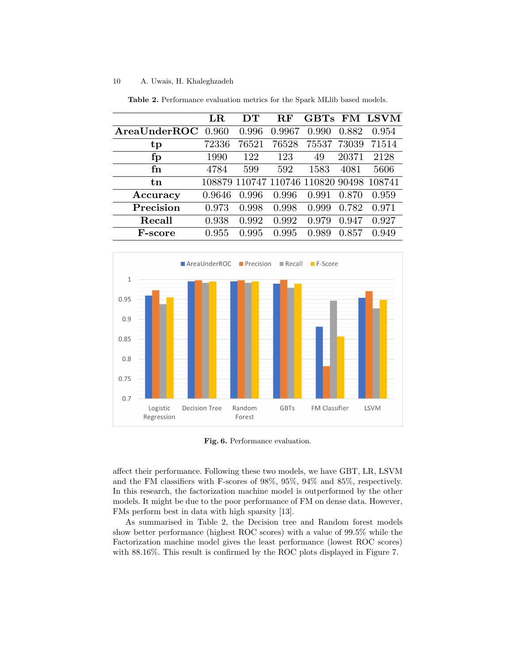#### 10 A. Uwais, H. Khaleghzadeh

|                | $_{\rm LR}$ | DТ    | R.F    |                                          |       | GBTs FM LSVM |
|----------------|-------------|-------|--------|------------------------------------------|-------|--------------|
| AreaUnderROC   | 0.960       | 0.996 | 0.9967 | 0.990                                    | 0.882 | 0.954        |
| tp             | 72336       | 76521 | 76528  | 75537                                    | 73039 | 71514        |
| $\mathbf{fp}$  | 1990        | 122   | 123    | 49                                       | 20371 | 2128         |
| fn             | 4784        | 599   | 592    | 1583                                     | 4081  | 5606         |
| $t_{n}$        |             |       |        | 108879 110747 110746 110820 90498 108741 |       |              |
| Accuracy       | 0.9646      | 0.996 | 0.996  | 0.991                                    | 0.870 | 0.959        |
| Precision      | 0.973       | 0.998 | 0.998  | 0.999                                    | 0.782 | 0.971        |
| Recall         | 0.938       | 0.992 | 0.992  | 0.979                                    | 0.947 | 0.927        |
| <b>F-score</b> | 0.955       | 0.995 | 0.995  | 0.989                                    | 0.857 | 0.949        |

Table 2. Performance evaluation metrics for the Spark MLlib based models.



Fig. 6. Performance evaluation.

affect their performance. Following these two models, we have GBT, LR, LSVM and the FM classifiers with F-scores of 98%, 95%, 94% and 85%, respectively. In this research, the factorization machine model is outperformed by the other models. It might be due to the poor performance of FM on dense data. However, FMs perform best in data with high sparsity [13].

As summarised in Table 2, the Decision tree and Random forest models show better performance (highest ROC scores) with a value of 99.5% while the Factorization machine model gives the least performance (lowest ROC scores) with 88.16%. This result is confirmed by the ROC plots displayed in Figure 7.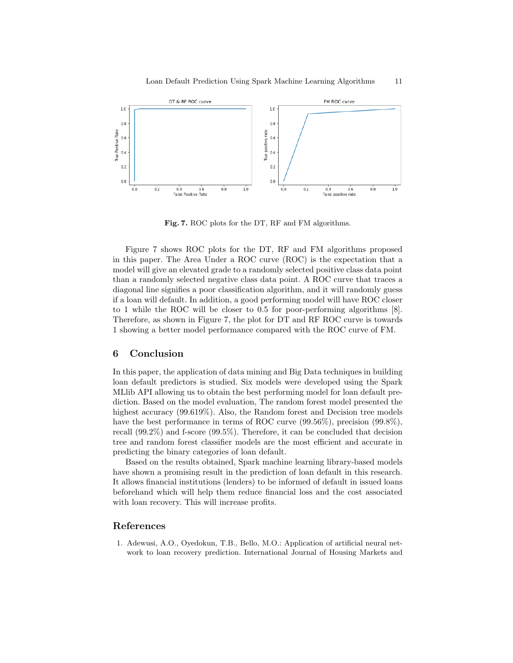

Fig. 7. ROC plots for the DT, RF and FM algorithms.

Figure 7 shows ROC plots for the DT, RF and FM algorithms proposed in this paper. The Area Under a ROC curve (ROC) is the expectation that a model will give an elevated grade to a randomly selected positive class data point than a randomly selected negative class data point. A ROC curve that traces a diagonal line signifies a poor classification algorithm, and it will randomly guess if a loan will default. In addition, a good performing model will have ROC closer to 1 while the ROC will be closer to 0.5 for poor-performing algorithms [8]. Therefore, as shown in Figure 7, the plot for DT and RF ROC curve is towards 1 showing a better model performance compared with the ROC curve of FM.

# 6 Conclusion

In this paper, the application of data mining and Big Data techniques in building loan default predictors is studied. Six models were developed using the Spark MLlib API allowing us to obtain the best performing model for loan default prediction. Based on the model evaluation, The random forest model presented the highest accuracy (99.619%). Also, the Random forest and Decision tree models have the best performance in terms of ROC curve  $(99.56\%)$ , precision  $(99.8\%)$ , recall (99.2%) and f-score (99.5%). Therefore, it can be concluded that decision tree and random forest classifier models are the most efficient and accurate in predicting the binary categories of loan default.

Based on the results obtained, Spark machine learning library-based models have shown a promising result in the prediction of loan default in this research. It allows financial institutions (lenders) to be informed of default in issued loans beforehand which will help them reduce financial loss and the cost associated with loan recovery. This will increase profits.

# References

1. Adewusi, A.O., Oyedokun, T.B., Bello, M.O.: Application of artificial neural network to loan recovery prediction. International Journal of Housing Markets and